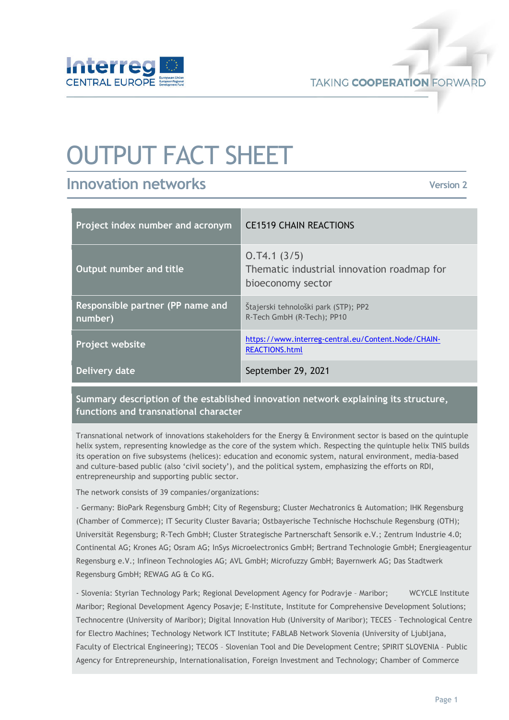

**TAKING COOPERATION FORWARD** 

# OUTPUT FACT SHEET

# **Innovation networks**

**Version 2** 

| Project index number and acronym            | <b>CE1519 CHAIN REACTIONS</b>                                                  |
|---------------------------------------------|--------------------------------------------------------------------------------|
| Output number and title                     | 0.74.1(3/5)<br>Thematic industrial innovation roadmap for<br>bioeconomy sector |
| Responsible partner (PP name and<br>number) | Štajerski tehnološki park (STP); PP2<br>R-Tech GmbH (R-Tech); PP10             |
| <b>Project website</b>                      | https://www.interreg-central.eu/Content.Node/CHAIN-<br><b>REACTIONS.html</b>   |
| Delivery date                               | September 29, 2021                                                             |

## **Summary description of the established innovation network explaining its structure, functions and transnational character**

Transnational network of innovations stakeholders for the Energy & Environment sector is based on the quintuple helix system, representing knowledge as the core of the system which. Respecting the quintuple helix TNIS builds its operation on five subsystems (helices): education and economic system, natural environment, media-based and culture-based public (also 'civil society'), and the political system, emphasizing the efforts on RDI, entrepreneurship and supporting public sector.

The network consists of 39 companies/organizations:

- Germany: BioPark Regensburg GmbH; City of Regensburg; Cluster Mechatronics & Automation; IHK Regensburg (Chamber of Commerce); IT Security Cluster Bavaria; Ostbayerische Technische Hochschule Regensburg (OTH); Universität Regensburg; R-Tech GmbH; Cluster Strategische Partnerschaft Sensorik e.V.; Zentrum Industrie 4.0; Continental AG; Krones AG; Osram AG; InSys Microelectronics GmbH; Bertrand Technologie GmbH; Energieagentur Regensburg e.V.; Infineon Technologies AG; AVL GmbH; Microfuzzy GmbH; Bayernwerk AG; Das Stadtwerk Regensburg GmbH; REWAG AG & Co KG.

- Slovenia: Styrian Technology Park; Regional Development Agency for Podravje – Maribor; WCYCLE Institute Maribor; Regional Development Agency Posavje; E-Institute, Institute for Comprehensive Development Solutions; Technocentre (University of Maribor); Digital Innovation Hub (University of Maribor); TECES – Technological Centre for Electro Machines; Technology Network ICT Institute; FABLAB Network Slovenia (University of Ljubljana, Faculty of Electrical Engineering); TECOS – Slovenian Tool and Die Development Centre; SPIRIT SLOVENIA – Public Agency for Entrepreneurship, Internationalisation, Foreign Investment and Technology; Chamber of Commerce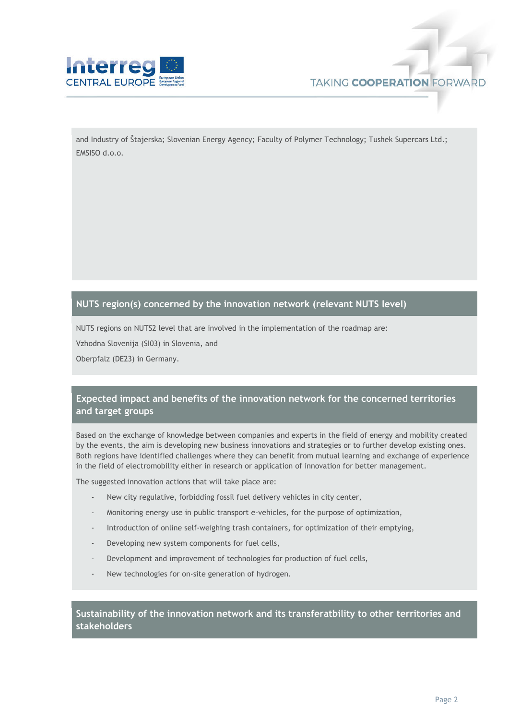

and Industry of Štajerska; Slovenian Energy Agency; Faculty of Polymer Technology; Tushek Supercars Ltd.; EMSISO d.o.o.

#### **NUTS region(s) concerned by the innovation network (relevant NUTS level)**

NUTS regions on NUTS2 level that are involved in the implementation of the roadmap are:

Vzhodna Slovenija (SI03) in Slovenia, and

Oberpfalz (DE23) in Germany.

## **Expected impact and benefits of the innovation network for the concerned territories and target groups**

Based on the exchange of knowledge between companies and experts in the field of energy and mobility created by the events, the aim is developing new business innovations and strategies or to further develop existing ones. Both regions have identified challenges where they can benefit from mutual learning and exchange of experience in the field of electromobility either in research or application of innovation for better management.

The suggested innovation actions that will take place are:

- New city regulative, forbidding fossil fuel delivery vehicles in city center,
- Monitoring energy use in public transport e-vehicles, for the purpose of optimization,
- Introduction of online self-weighing trash containers, for optimization of their emptying,
- Developing new system components for fuel cells,
- Development and improvement of technologies for production of fuel cells,
- New technologies for on-site generation of hydrogen.

**Sustainability of the innovation network and its transferatbility to other territories and stakeholders**